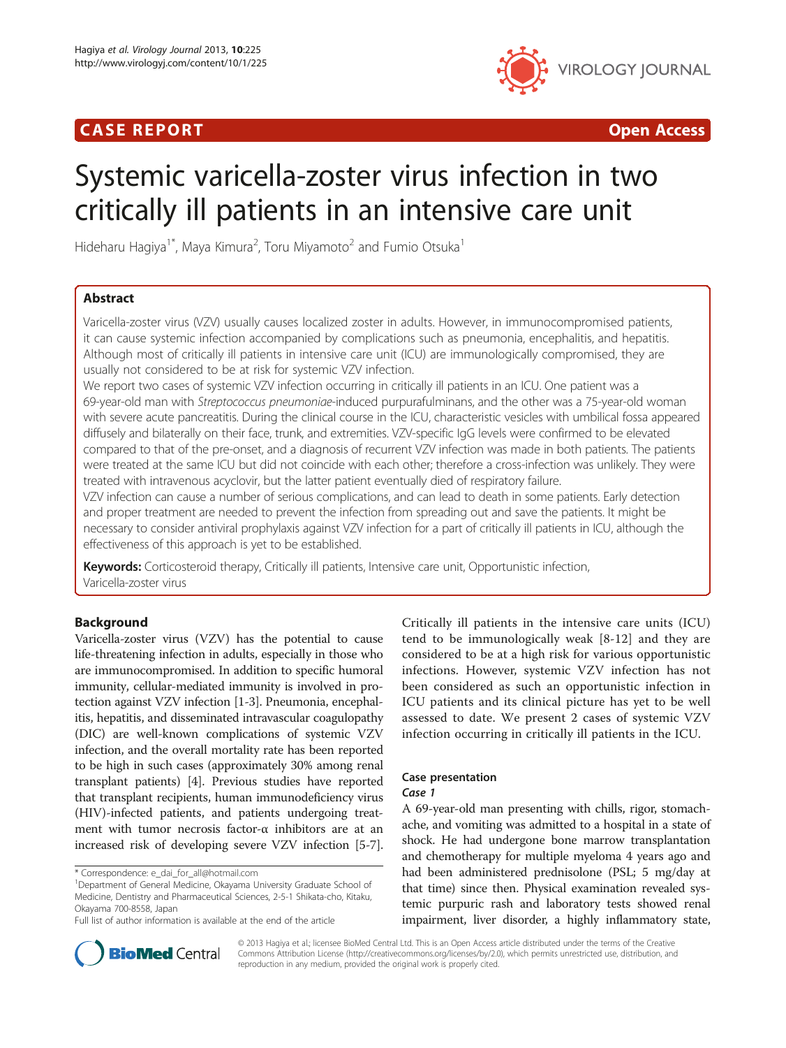## **CASE REPORT CASE ACCESS**



# Systemic varicella-zoster virus infection in two critically ill patients in an intensive care unit

Hideharu Hagiya<sup>1\*</sup>, Maya Kimura<sup>2</sup>, Toru Miyamoto<sup>2</sup> and Fumio Otsuka<sup>1</sup>

## Abstract

Varicella-zoster virus (VZV) usually causes localized zoster in adults. However, in immunocompromised patients, it can cause systemic infection accompanied by complications such as pneumonia, encephalitis, and hepatitis. Although most of critically ill patients in intensive care unit (ICU) are immunologically compromised, they are usually not considered to be at risk for systemic VZV infection.

We report two cases of systemic VZV infection occurring in critically ill patients in an ICU. One patient was a 69-year-old man with Streptococcus pneumoniae-induced purpurafulminans, and the other was a 75-year-old woman with severe acute pancreatitis. During the clinical course in the ICU, characteristic vesicles with umbilical fossa appeared diffusely and bilaterally on their face, trunk, and extremities. VZV-specific IgG levels were confirmed to be elevated compared to that of the pre-onset, and a diagnosis of recurrent VZV infection was made in both patients. The patients were treated at the same ICU but did not coincide with each other; therefore a cross-infection was unlikely. They were treated with intravenous acyclovir, but the latter patient eventually died of respiratory failure.

VZV infection can cause a number of serious complications, and can lead to death in some patients. Early detection and proper treatment are needed to prevent the infection from spreading out and save the patients. It might be necessary to consider antiviral prophylaxis against VZV infection for a part of critically ill patients in ICU, although the effectiveness of this approach is yet to be established.

Keywords: Corticosteroid therapy, Critically ill patients, Intensive care unit, Opportunistic infection, Varicella-zoster virus

## Background

Varicella-zoster virus (VZV) has the potential to cause life-threatening infection in adults, especially in those who are immunocompromised. In addition to specific humoral immunity, cellular-mediated immunity is involved in protection against VZV infection [\[1](#page-4-0)-[3\]](#page-4-0). Pneumonia, encephalitis, hepatitis, and disseminated intravascular coagulopathy (DIC) are well-known complications of systemic VZV infection, and the overall mortality rate has been reported to be high in such cases (approximately 30% among renal transplant patients) [\[4](#page-4-0)]. Previous studies have reported that transplant recipients, human immunodeficiency virus (HIV)-infected patients, and patients undergoing treatment with tumor necrosis factor-α inhibitors are at an increased risk of developing severe VZV infection [\[5](#page-4-0)-[7](#page-4-0)].

Critically ill patients in the intensive care units (ICU) tend to be immunologically weak [[8-12](#page-4-0)] and they are considered to be at a high risk for various opportunistic infections. However, systemic VZV infection has not been considered as such an opportunistic infection in ICU patients and its clinical picture has yet to be well assessed to date. We present 2 cases of systemic VZV infection occurring in critically ill patients in the ICU.

## Case presentation

#### Case 1

A 69-year-old man presenting with chills, rigor, stomachache, and vomiting was admitted to a hospital in a state of shock. He had undergone bone marrow transplantation and chemotherapy for multiple myeloma 4 years ago and had been administered prednisolone (PSL; 5 mg/day at that time) since then. Physical examination revealed systemic purpuric rash and laboratory tests showed renal impairment, liver disorder, a highly inflammatory state,



© 2013 Hagiya et al.; licensee BioMed Central Ltd. This is an Open Access article distributed under the terms of the Creative Commons Attribution License [\(http://creativecommons.org/licenses/by/2.0\)](http://creativecommons.org/licenses/by/2.0), which permits unrestricted use, distribution, and reproduction in any medium, provided the original work is properly cited.

<sup>\*</sup> Correspondence: [e\\_dai\\_for\\_all@hotmail.com](mailto:e_dai_for_all@hotmail.com) <sup>1</sup>

Department of General Medicine, Okayama University Graduate School of Medicine, Dentistry and Pharmaceutical Sciences, 2-5-1 Shikata-cho, Kitaku, Okayama 700-8558, Japan

Full list of author information is available at the end of the article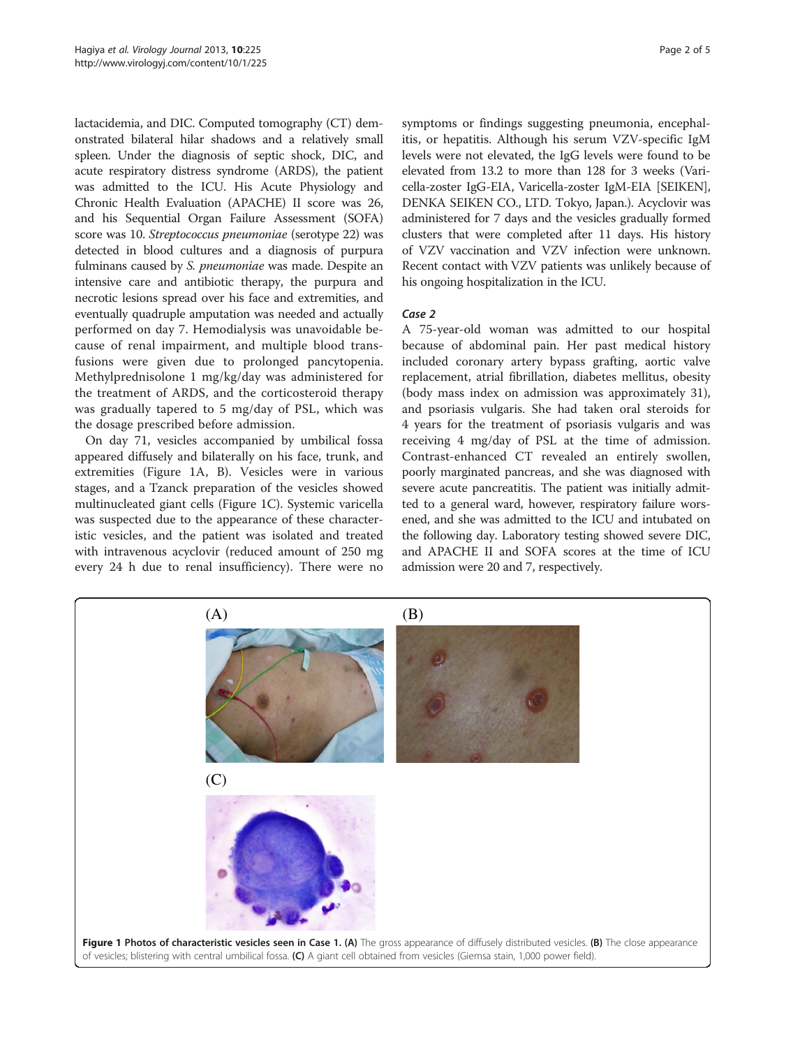lactacidemia, and DIC. Computed tomography (CT) demonstrated bilateral hilar shadows and a relatively small spleen. Under the diagnosis of septic shock, DIC, and acute respiratory distress syndrome (ARDS), the patient was admitted to the ICU. His Acute Physiology and Chronic Health Evaluation (APACHE) II score was 26, and his Sequential Organ Failure Assessment (SOFA) score was 10. Streptococcus pneumoniae (serotype 22) was detected in blood cultures and a diagnosis of purpura fulminans caused by S. pneumoniae was made. Despite an intensive care and antibiotic therapy, the purpura and necrotic lesions spread over his face and extremities, and eventually quadruple amputation was needed and actually performed on day 7. Hemodialysis was unavoidable because of renal impairment, and multiple blood transfusions were given due to prolonged pancytopenia. Methylprednisolone 1 mg/kg/day was administered for the treatment of ARDS, and the corticosteroid therapy was gradually tapered to 5 mg/day of PSL, which was the dosage prescribed before admission.

On day 71, vesicles accompanied by umbilical fossa appeared diffusely and bilaterally on his face, trunk, and extremities (Figure 1A, B). Vesicles were in various stages, and a Tzanck preparation of the vesicles showed multinucleated giant cells (Figure 1C). Systemic varicella was suspected due to the appearance of these characteristic vesicles, and the patient was isolated and treated with intravenous acyclovir (reduced amount of 250 mg every 24 h due to renal insufficiency). There were no

symptoms or findings suggesting pneumonia, encephalitis, or hepatitis. Although his serum VZV-specific IgM levels were not elevated, the IgG levels were found to be elevated from 13.2 to more than 128 for 3 weeks (Varicella-zoster IgG-EIA, Varicella-zoster IgM-EIA [SEIKEN], DENKA SEIKEN CO., LTD. Tokyo, Japan.). Acyclovir was administered for 7 days and the vesicles gradually formed clusters that were completed after 11 days. His history of VZV vaccination and VZV infection were unknown. Recent contact with VZV patients was unlikely because of his ongoing hospitalization in the ICU.

## Case 2

A 75-year-old woman was admitted to our hospital because of abdominal pain. Her past medical history included coronary artery bypass grafting, aortic valve replacement, atrial fibrillation, diabetes mellitus, obesity (body mass index on admission was approximately 31), and psoriasis vulgaris. She had taken oral steroids for 4 years for the treatment of psoriasis vulgaris and was receiving 4 mg/day of PSL at the time of admission. Contrast-enhanced CT revealed an entirely swollen, poorly marginated pancreas, and she was diagnosed with severe acute pancreatitis. The patient was initially admitted to a general ward, however, respiratory failure worsened, and she was admitted to the ICU and intubated on the following day. Laboratory testing showed severe DIC, and APACHE II and SOFA scores at the time of ICU admission were 20 and 7, respectively.

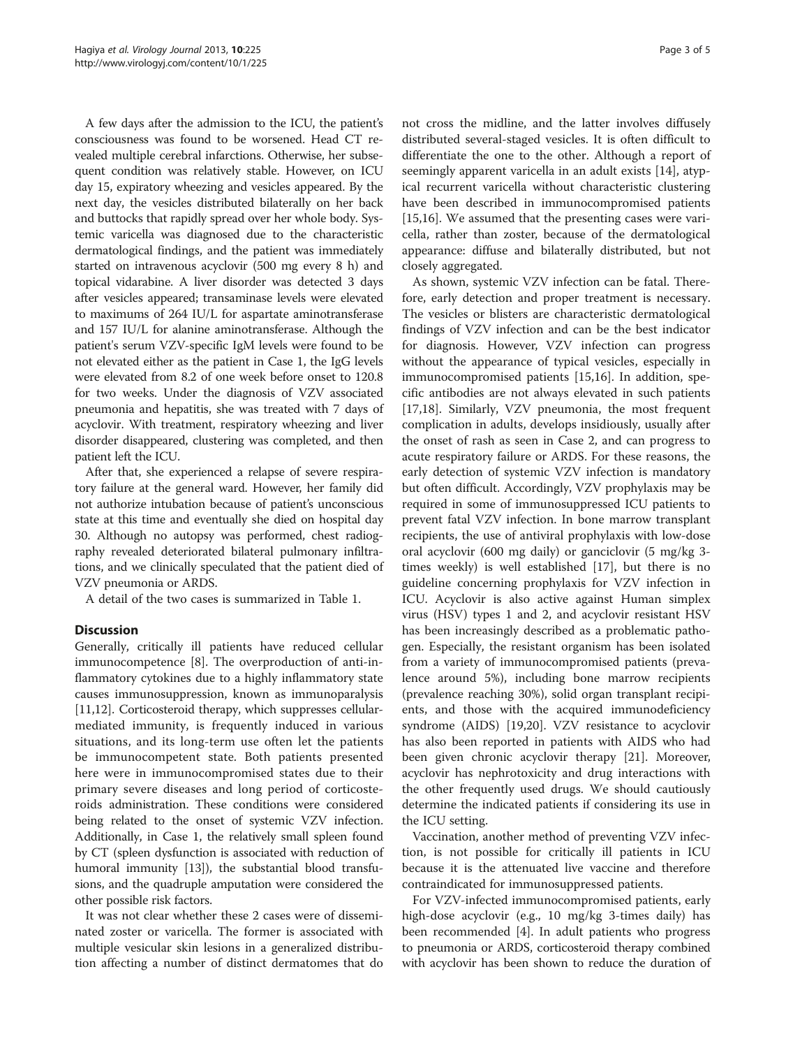A few days after the admission to the ICU, the patient's consciousness was found to be worsened. Head CT revealed multiple cerebral infarctions. Otherwise, her subsequent condition was relatively stable. However, on ICU day 15, expiratory wheezing and vesicles appeared. By the next day, the vesicles distributed bilaterally on her back and buttocks that rapidly spread over her whole body. Systemic varicella was diagnosed due to the characteristic dermatological findings, and the patient was immediately started on intravenous acyclovir (500 mg every 8 h) and topical vidarabine. A liver disorder was detected 3 days after vesicles appeared; transaminase levels were elevated to maximums of 264 IU/L for aspartate aminotransferase and 157 IU/L for alanine aminotransferase. Although the patient's serum VZV-specific IgM levels were found to be not elevated either as the patient in Case 1, the IgG levels were elevated from 8.2 of one week before onset to 120.8 for two weeks. Under the diagnosis of VZV associated pneumonia and hepatitis, she was treated with 7 days of acyclovir. With treatment, respiratory wheezing and liver disorder disappeared, clustering was completed, and then patient left the ICU.

After that, she experienced a relapse of severe respiratory failure at the general ward. However, her family did not authorize intubation because of patient's unconscious state at this time and eventually she died on hospital day 30. Although no autopsy was performed, chest radiography revealed deteriorated bilateral pulmonary infiltrations, and we clinically speculated that the patient died of VZV pneumonia or ARDS.

A detail of the two cases is summarized in Table [1.](#page-3-0)

## **Discussion**

Generally, critically ill patients have reduced cellular immunocompetence [[8](#page-4-0)]. The overproduction of anti-inflammatory cytokines due to a highly inflammatory state causes immunosuppression, known as immunoparalysis [[11,12\]](#page-4-0). Corticosteroid therapy, which suppresses cellularmediated immunity, is frequently induced in various situations, and its long-term use often let the patients be immunocompetent state. Both patients presented here were in immunocompromised states due to their primary severe diseases and long period of corticosteroids administration. These conditions were considered being related to the onset of systemic VZV infection. Additionally, in Case 1, the relatively small spleen found by CT (spleen dysfunction is associated with reduction of humoral immunity [[13\]](#page-4-0)), the substantial blood transfusions, and the quadruple amputation were considered the other possible risk factors.

It was not clear whether these 2 cases were of disseminated zoster or varicella. The former is associated with multiple vesicular skin lesions in a generalized distribution affecting a number of distinct dermatomes that do

not cross the midline, and the latter involves diffusely distributed several-staged vesicles. It is often difficult to differentiate the one to the other. Although a report of seemingly apparent varicella in an adult exists [[14](#page-4-0)], atypical recurrent varicella without characteristic clustering have been described in immunocompromised patients [[15,16\]](#page-4-0). We assumed that the presenting cases were varicella, rather than zoster, because of the dermatological appearance: diffuse and bilaterally distributed, but not closely aggregated.

As shown, systemic VZV infection can be fatal. Therefore, early detection and proper treatment is necessary. The vesicles or blisters are characteristic dermatological findings of VZV infection and can be the best indicator for diagnosis. However, VZV infection can progress without the appearance of typical vesicles, especially in immunocompromised patients [\[15,16](#page-4-0)]. In addition, specific antibodies are not always elevated in such patients [[17,18\]](#page-4-0). Similarly, VZV pneumonia, the most frequent complication in adults, develops insidiously, usually after the onset of rash as seen in Case 2, and can progress to acute respiratory failure or ARDS. For these reasons, the early detection of systemic VZV infection is mandatory but often difficult. Accordingly, VZV prophylaxis may be required in some of immunosuppressed ICU patients to prevent fatal VZV infection. In bone marrow transplant recipients, the use of antiviral prophylaxis with low-dose oral acyclovir (600 mg daily) or ganciclovir (5 mg/kg 3 times weekly) is well established [\[17](#page-4-0)], but there is no guideline concerning prophylaxis for VZV infection in ICU. Acyclovir is also active against Human simplex virus (HSV) types 1 and 2, and acyclovir resistant HSV has been increasingly described as a problematic pathogen. Especially, the resistant organism has been isolated from a variety of immunocompromised patients (prevalence around 5%), including bone marrow recipients (prevalence reaching 30%), solid organ transplant recipients, and those with the acquired immunodeficiency syndrome (AIDS) [[19,20\]](#page-4-0). VZV resistance to acyclovir has also been reported in patients with AIDS who had been given chronic acyclovir therapy [\[21\]](#page-4-0). Moreover, acyclovir has nephrotoxicity and drug interactions with the other frequently used drugs. We should cautiously determine the indicated patients if considering its use in the ICU setting.

Vaccination, another method of preventing VZV infection, is not possible for critically ill patients in ICU because it is the attenuated live vaccine and therefore contraindicated for immunosuppressed patients.

For VZV-infected immunocompromised patients, early high-dose acyclovir (e.g., 10 mg/kg 3-times daily) has been recommended [\[4](#page-4-0)]. In adult patients who progress to pneumonia or ARDS, corticosteroid therapy combined with acyclovir has been shown to reduce the duration of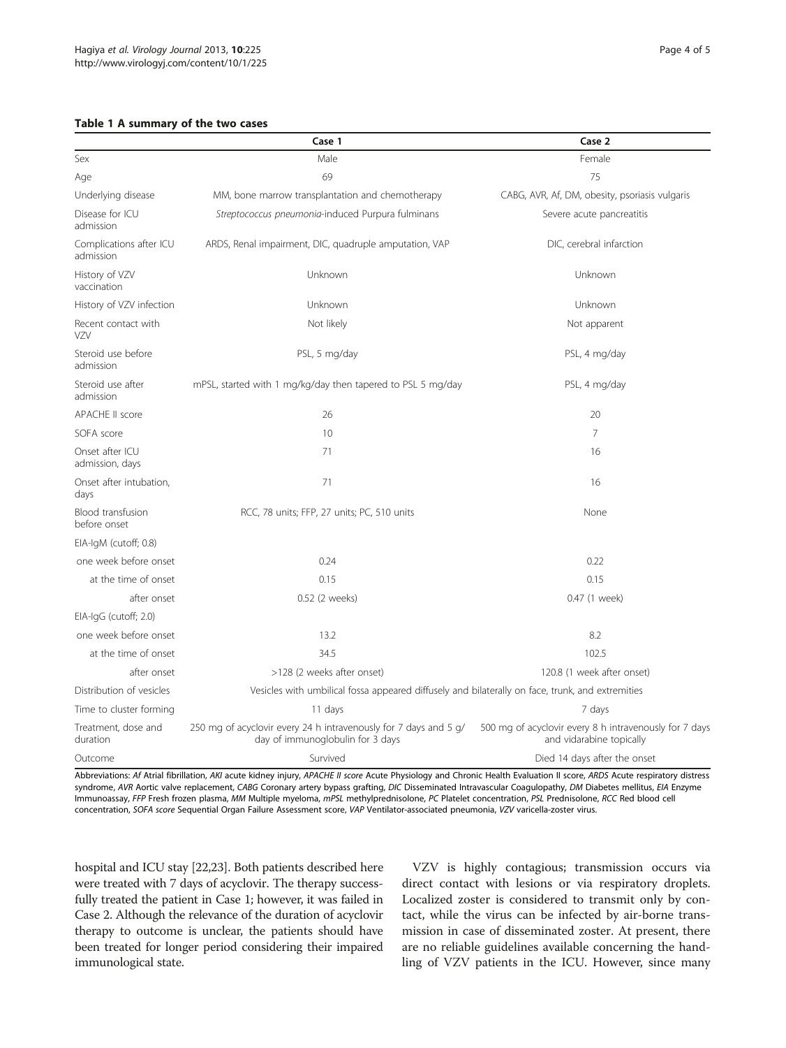#### <span id="page-3-0"></span>Table 1 A summary of the two cases

|                                      | Case 1                                                                                               | Case 2                                                                             |
|--------------------------------------|------------------------------------------------------------------------------------------------------|------------------------------------------------------------------------------------|
| Sex                                  | Male                                                                                                 | Female                                                                             |
| Age                                  | 69                                                                                                   | 75                                                                                 |
| Underlying disease                   | MM, bone marrow transplantation and chemotherapy                                                     | CABG, AVR, Af, DM, obesity, psoriasis vulgaris                                     |
| Disease for ICU<br>admission         | Streptococcus pneumonia-induced Purpura fulminans                                                    | Severe acute pancreatitis                                                          |
| Complications after ICU<br>admission | ARDS, Renal impairment, DIC, quadruple amputation, VAP                                               | DIC, cerebral infarction                                                           |
| History of VZV<br>vaccination        | Unknown                                                                                              | Unknown                                                                            |
| History of VZV infection             | Unknown                                                                                              | Unknown                                                                            |
| Recent contact with<br><b>VZV</b>    | Not likely                                                                                           | Not apparent                                                                       |
| Steroid use before<br>admission      | PSL, 5 mg/day                                                                                        | PSL, 4 mg/day                                                                      |
| Steroid use after<br>admission       | mPSL, started with 1 mg/kg/day then tapered to PSL 5 mg/day                                          | PSL, 4 mg/day                                                                      |
| <b>APACHE II score</b>               | 26                                                                                                   | 20                                                                                 |
| SOFA score                           | 10                                                                                                   | $\overline{7}$                                                                     |
| Onset after ICU<br>admission, days   | 71                                                                                                   | 16                                                                                 |
| Onset after intubation,<br>days      | 71                                                                                                   | 16                                                                                 |
| Blood transfusion<br>before onset    | RCC, 78 units; FFP, 27 units; PC, 510 units                                                          | None                                                                               |
| EIA-IgM (cutoff; 0.8)                |                                                                                                      |                                                                                    |
| one week before onset                | 0.24                                                                                                 | 0.22                                                                               |
| at the time of onset                 | 0.15                                                                                                 | 0.15                                                                               |
| after onset                          | 0.52 (2 weeks)                                                                                       | 0.47 (1 week)                                                                      |
| EIA-IgG (cutoff; 2.0)                |                                                                                                      |                                                                                    |
| one week before onset                | 13.2                                                                                                 | 8.2                                                                                |
| at the time of onset                 | 34.5                                                                                                 | 102.5                                                                              |
| after onset                          | >128 (2 weeks after onset)                                                                           | 120.8 (1 week after onset)                                                         |
| Distribution of vesicles             | Vesicles with umbilical fossa appeared diffusely and bilaterally on face, trunk, and extremities     |                                                                                    |
| Time to cluster forming              | 11 days                                                                                              | 7 days                                                                             |
| Treatment, dose and<br>duration      | 250 mg of acyclovir every 24 h intravenously for 7 days and 5 g/<br>day of immunoglobulin for 3 days | 500 mg of acyclovir every 8 h intravenously for 7 days<br>and vidarabine topically |
| Outcome                              | Survived                                                                                             | Died 14 days after the onset                                                       |

Abbreviations: Af Atrial fibrillation, AKI acute kidney injury, APACHE II score Acute Physiology and Chronic Health Evaluation II score, ARDS Acute respiratory distress<br>syndrome, AVR Aortic valve replacement, CARG Coronary syndrome, AVR Aortic valve replacement, CABG Coronary artery bypass grafting, DIC Disseminated Intravascular Coagulopathy, DM Diabetes mellitus, EIA Enzyme<br>Immunoassav, EEP Eresh frozen plasma. MM Multiple myeloma, mPSL me Immunoassay, FFP Fresh frozen plasma, MM Multiple myeloma, mPSL methylprednisolone, PC Platelet concentration, PSL Prednisolone, RCC Red blood cell concentration, SOFA score Sequential Organ Failure Assessment score, VAP Ventilator-associated pneumonia, VZV varicella-zoster virus.

hospital and ICU stay [\[22,23\]](#page-4-0). Both patients described here were treated with 7 days of acyclovir. The therapy successfully treated the patient in Case 1; however, it was failed in Case 2. Although the relevance of the duration of acyclovir therapy to outcome is unclear, the patients should have been treated for longer period considering their impaired immunological state.

VZV is highly contagious; transmission occurs via direct contact with lesions or via respiratory droplets. Localized zoster is considered to transmit only by contact, while the virus can be infected by air-borne transmission in case of disseminated zoster. At present, there are no reliable guidelines available concerning the handling of VZV patients in the ICU. However, since many